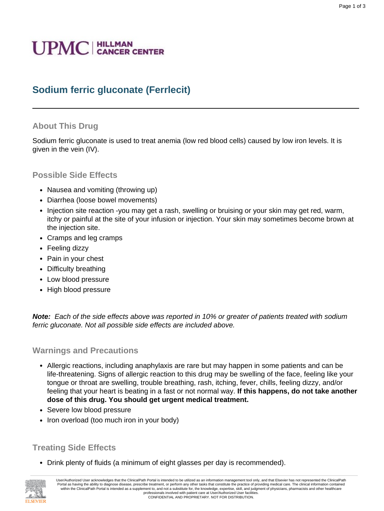# **UPMC** | HILLMAN

## **Sodium ferric gluconate (Ferrlecit)**

#### **About This Drug**

Sodium ferric gluconate is used to treat anemia (low red blood cells) caused by low iron levels. It is given in the vein (IV).

#### **Possible Side Effects**

- Nausea and vomiting (throwing up)
- Diarrhea (loose bowel movements)
- Injection site reaction -you may get a rash, swelling or bruising or your skin may get red, warm, itchy or painful at the site of your infusion or injection. Your skin may sometimes become brown at the injection site.
- Cramps and leg cramps
- Feeling dizzy
- Pain in your chest
- Difficulty breathing
- Low blood pressure
- High blood pressure

**Note:** Each of the side effects above was reported in 10% or greater of patients treated with sodium ferric gluconate. Not all possible side effects are included above.

#### **Warnings and Precautions**

- Allergic reactions, including anaphylaxis are rare but may happen in some patients and can be life-threatening. Signs of allergic reaction to this drug may be swelling of the face, feeling like your tongue or throat are swelling, trouble breathing, rash, itching, fever, chills, feeling dizzy, and/or feeling that your heart is beating in a fast or not normal way. **If this happens, do not take another dose of this drug. You should get urgent medical treatment.**
- Severe low blood pressure
- Iron overload (too much iron in your body)

#### **Treating Side Effects**

• Drink plenty of fluids (a minimum of eight glasses per day is recommended).

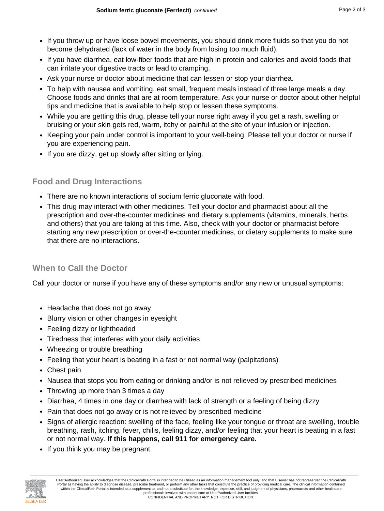- If you throw up or have loose bowel movements, you should drink more fluids so that you do not become dehydrated (lack of water in the body from losing too much fluid).
- If you have diarrhea, eat low-fiber foods that are high in protein and calories and avoid foods that can irritate your digestive tracts or lead to cramping.
- Ask your nurse or doctor about medicine that can lessen or stop your diarrhea.
- To help with nausea and vomiting, eat small, frequent meals instead of three large meals a day. Choose foods and drinks that are at room temperature. Ask your nurse or doctor about other helpful tips and medicine that is available to help stop or lessen these symptoms.
- While you are getting this drug, please tell your nurse right away if you get a rash, swelling or bruising or your skin gets red, warm, itchy or painful at the site of your infusion or injection.
- Keeping your pain under control is important to your well-being. Please tell your doctor or nurse if you are experiencing pain.
- If you are dizzy, get up slowly after sitting or lying.

## **Food and Drug Interactions**

- There are no known interactions of sodium ferric gluconate with food.
- This drug may interact with other medicines. Tell your doctor and pharmacist about all the prescription and over-the-counter medicines and dietary supplements (vitamins, minerals, herbs and others) that you are taking at this time. Also, check with your doctor or pharmacist before starting any new prescription or over-the-counter medicines, or dietary supplements to make sure that there are no interactions.

## **When to Call the Doctor**

Call your doctor or nurse if you have any of these symptoms and/or any new or unusual symptoms:

- Headache that does not go away
- Blurry vision or other changes in eyesight
- Feeling dizzy or lightheaded
- Tiredness that interferes with your daily activities
- Wheezing or trouble breathing
- Feeling that your heart is beating in a fast or not normal way (palpitations)
- Chest pain
- Nausea that stops you from eating or drinking and/or is not relieved by prescribed medicines
- Throwing up more than 3 times a day
- Diarrhea, 4 times in one day or diarrhea with lack of strength or a feeling of being dizzy
- Pain that does not go away or is not relieved by prescribed medicine
- Signs of allergic reaction: swelling of the face, feeling like your tongue or throat are swelling, trouble breathing, rash, itching, fever, chills, feeling dizzy, and/or feeling that your heart is beating in a fast or not normal way. **If this happens, call 911 for emergency care.**
- If you think you may be pregnant